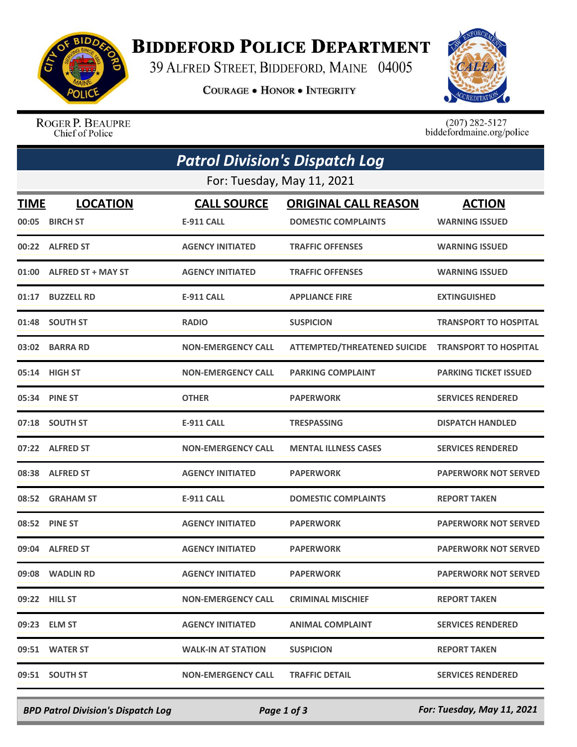

## **BIDDEFORD POLICE DEPARTMENT**

39 ALFRED STREET, BIDDEFORD, MAINE 04005

**COURAGE . HONOR . INTEGRITY** 



ROGER P. BEAUPRE Chief of Police

 $(207)$  282-5127<br>biddefordmaine.org/police

| <b>Patrol Division's Dispatch Log</b> |                                    |                                         |                                                           |                                        |  |  |  |
|---------------------------------------|------------------------------------|-----------------------------------------|-----------------------------------------------------------|----------------------------------------|--|--|--|
| For: Tuesday, May 11, 2021            |                                    |                                         |                                                           |                                        |  |  |  |
| <b>TIME</b><br>00:05                  | <b>LOCATION</b><br><b>BIRCH ST</b> | <b>CALL SOURCE</b><br><b>E-911 CALL</b> | <b>ORIGINAL CALL REASON</b><br><b>DOMESTIC COMPLAINTS</b> | <b>ACTION</b><br><b>WARNING ISSUED</b> |  |  |  |
|                                       | 00:22 ALFRED ST                    | <b>AGENCY INITIATED</b>                 | <b>TRAFFIC OFFENSES</b>                                   | <b>WARNING ISSUED</b>                  |  |  |  |
| 01:00                                 | <b>ALFRED ST + MAY ST</b>          | <b>AGENCY INITIATED</b>                 | <b>TRAFFIC OFFENSES</b>                                   | <b>WARNING ISSUED</b>                  |  |  |  |
| 01:17                                 | <b>BUZZELL RD</b>                  | <b>E-911 CALL</b>                       | <b>APPLIANCE FIRE</b>                                     | <b>EXTINGUISHED</b>                    |  |  |  |
| 01:48                                 | <b>SOUTH ST</b>                    | <b>RADIO</b>                            | <b>SUSPICION</b>                                          | <b>TRANSPORT TO HOSPITAL</b>           |  |  |  |
| 03:02                                 | <b>BARRA RD</b>                    | <b>NON-EMERGENCY CALL</b>               | <b>ATTEMPTED/THREATENED SUICIDE</b>                       | <b>TRANSPORT TO HOSPITAL</b>           |  |  |  |
|                                       | 05:14 HIGH ST                      | <b>NON-EMERGENCY CALL</b>               | <b>PARKING COMPLAINT</b>                                  | <b>PARKING TICKET ISSUED</b>           |  |  |  |
| 05:34                                 | <b>PINE ST</b>                     | <b>OTHER</b>                            | <b>PAPERWORK</b>                                          | <b>SERVICES RENDERED</b>               |  |  |  |
|                                       | 07:18 SOUTH ST                     | <b>E-911 CALL</b>                       | <b>TRESPASSING</b>                                        | <b>DISPATCH HANDLED</b>                |  |  |  |
|                                       | 07:22 ALFRED ST                    | <b>NON-EMERGENCY CALL</b>               | <b>MENTAL ILLNESS CASES</b>                               | <b>SERVICES RENDERED</b>               |  |  |  |
| 08:38                                 | <b>ALFRED ST</b>                   | <b>AGENCY INITIATED</b>                 | <b>PAPERWORK</b>                                          | <b>PAPERWORK NOT SERVED</b>            |  |  |  |
|                                       | 08:52 GRAHAM ST                    | <b>E-911 CALL</b>                       | <b>DOMESTIC COMPLAINTS</b>                                | <b>REPORT TAKEN</b>                    |  |  |  |
| 08:52                                 | <b>PINE ST</b>                     | <b>AGENCY INITIATED</b>                 | <b>PAPERWORK</b>                                          | <b>PAPERWORK NOT SERVED</b>            |  |  |  |
| 09:04                                 | <b>ALFRED ST</b>                   | <b>AGENCY INITIATED</b>                 | <b>PAPERWORK</b>                                          | <b>PAPERWORK NOT SERVED</b>            |  |  |  |
|                                       | 09:08 WADLIN RD                    | <b>AGENCY INITIATED</b>                 | <b>PAPERWORK</b>                                          | <b>PAPERWORK NOT SERVED</b>            |  |  |  |
|                                       | 09:22 HILL ST                      | <b>NON-EMERGENCY CALL</b>               | <b>CRIMINAL MISCHIEF</b>                                  | <b>REPORT TAKEN</b>                    |  |  |  |
|                                       | 09:23 ELM ST                       | <b>AGENCY INITIATED</b>                 | <b>ANIMAL COMPLAINT</b>                                   | <b>SERVICES RENDERED</b>               |  |  |  |
|                                       | 09:51 WATER ST                     | <b>WALK-IN AT STATION</b>               | <b>SUSPICION</b>                                          | <b>REPORT TAKEN</b>                    |  |  |  |
|                                       | 09:51 SOUTH ST                     | <b>NON-EMERGENCY CALL</b>               | <b>TRAFFIC DETAIL</b>                                     | <b>SERVICES RENDERED</b>               |  |  |  |

*BPD Patrol Division's Dispatch Log Page 1 of 3 For: Tuesday, May 11, 2021*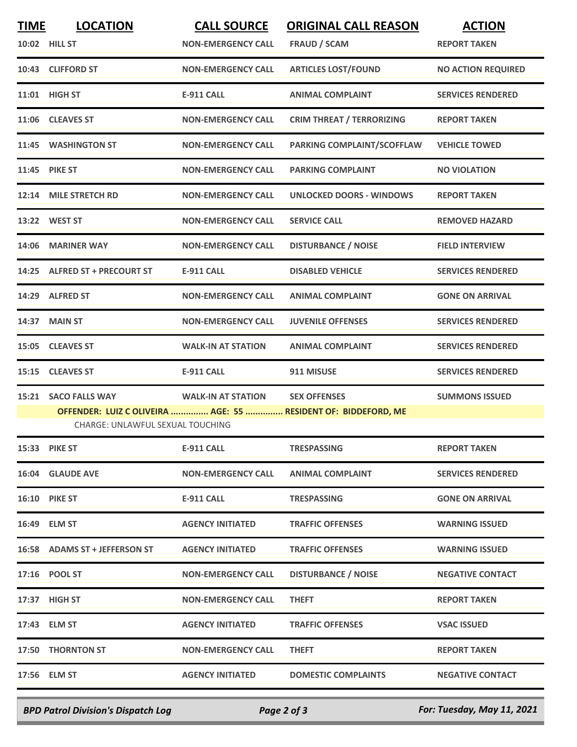| <b>TIME</b> | <b>LOCATION</b>                  | <b>CALL SOURCE</b>        | <b>ORIGINAL CALL REASON</b>                                   | <b>ACTION</b>             |
|-------------|----------------------------------|---------------------------|---------------------------------------------------------------|---------------------------|
|             | 10:02 HILL ST                    | <b>NON-EMERGENCY CALL</b> | FRAUD / SCAM                                                  | <b>REPORT TAKEN</b>       |
|             | 10:43 CLIFFORD ST                | <b>NON-EMERGENCY CALL</b> | <b>ARTICLES LOST/FOUND</b>                                    | <b>NO ACTION REQUIRED</b> |
|             | 11:01 HIGH ST                    | <b>E-911 CALL</b>         | <b>ANIMAL COMPLAINT</b>                                       | <b>SERVICES RENDERED</b>  |
|             | 11:06 CLEAVES ST                 | <b>NON-EMERGENCY CALL</b> | <b>CRIM THREAT / TERRORIZING</b>                              | <b>REPORT TAKEN</b>       |
|             | 11:45 WASHINGTON ST              | <b>NON-EMERGENCY CALL</b> | PARKING COMPLAINT/SCOFFLAW                                    | <b>VEHICLE TOWED</b>      |
|             | 11:45 PIKE ST                    | <b>NON-EMERGENCY CALL</b> | <b>PARKING COMPLAINT</b>                                      | <b>NO VIOLATION</b>       |
|             | 12:14 MILE STRETCH RD            | <b>NON-EMERGENCY CALL</b> | <b>UNLOCKED DOORS - WINDOWS</b>                               | <b>REPORT TAKEN</b>       |
|             | 13:22 WEST ST                    | <b>NON-EMERGENCY CALL</b> | <b>SERVICE CALL</b>                                           | <b>REMOVED HAZARD</b>     |
| 14:06       | <b>MARINER WAY</b>               | <b>NON-EMERGENCY CALL</b> | <b>DISTURBANCE / NOISE</b>                                    | <b>FIELD INTERVIEW</b>    |
|             | 14:25 ALFRED ST + PRECOURT ST    | <b>E-911 CALL</b>         | <b>DISABLED VEHICLE</b>                                       | <b>SERVICES RENDERED</b>  |
|             | 14:29 ALFRED ST                  | <b>NON-EMERGENCY CALL</b> | <b>ANIMAL COMPLAINT</b>                                       | <b>GONE ON ARRIVAL</b>    |
| 14:37       | <b>MAIN ST</b>                   | <b>NON-EMERGENCY CALL</b> | <b>JUVENILE OFFENSES</b>                                      | <b>SERVICES RENDERED</b>  |
|             | 15:05 CLEAVES ST                 | <b>WALK-IN AT STATION</b> | <b>ANIMAL COMPLAINT</b>                                       | <b>SERVICES RENDERED</b>  |
|             | 15:15 CLEAVES ST                 | <b>E-911 CALL</b>         | 911 MISUSE                                                    | <b>SERVICES RENDERED</b>  |
|             | 15:21 SACO FALLS WAY             | <b>WALK-IN AT STATION</b> | <b>SEX OFFENSES</b>                                           | <b>SUMMONS ISSUED</b>     |
|             |                                  |                           | OFFENDER: LUIZ COLIVEIRA  AGE: 55  RESIDENT OF: BIDDEFORD, ME |                           |
|             | CHARGE: UNLAWFUL SEXUAL TOUCHING |                           |                                                               |                           |
|             | <b>15:33 PIKE ST</b>             | E-911 CALL                | <b>TRESPASSING</b>                                            | <b>REPORT TAKEN</b>       |
|             | <b>16:04 GLAUDE AVE</b>          | <b>NON-EMERGENCY CALL</b> | <b>ANIMAL COMPLAINT</b>                                       | <b>SERVICES RENDERED</b>  |
|             | <b>16:10 PIKE ST</b>             | E-911 CALL                | <b>TRESPASSING</b>                                            | <b>GONE ON ARRIVAL</b>    |
|             | 16:49 ELM ST                     | <b>AGENCY INITIATED</b>   | <b>TRAFFIC OFFENSES</b>                                       | <b>WARNING ISSUED</b>     |
|             | 16:58 ADAMS ST + JEFFERSON ST    | <b>AGENCY INITIATED</b>   | <b>TRAFFIC OFFENSES</b>                                       | <b>WARNING ISSUED</b>     |
|             | 17:16 POOL ST                    | <b>NON-EMERGENCY CALL</b> | <b>DISTURBANCE / NOISE</b>                                    | <b>NEGATIVE CONTACT</b>   |
|             | 17:37 HIGH ST                    | <b>NON-EMERGENCY CALL</b> | <b>THEFT</b>                                                  | <b>REPORT TAKEN</b>       |
|             | 17:43 ELM ST                     | <b>AGENCY INITIATED</b>   | <b>TRAFFIC OFFENSES</b>                                       | <b>VSAC ISSUED</b>        |
|             | 17:50 THORNTON ST                | <b>NON-EMERGENCY CALL</b> | <b>THEFT</b>                                                  | <b>REPORT TAKEN</b>       |
|             | 17:56 ELM ST                     | <b>AGENCY INITIATED</b>   | <b>DOMESTIC COMPLAINTS</b>                                    | <b>NEGATIVE CONTACT</b>   |
|             |                                  |                           |                                                               |                           |

*BPD Patrol Division's Dispatch Log Page 2 of 3 For: Tuesday, May 11, 2021*